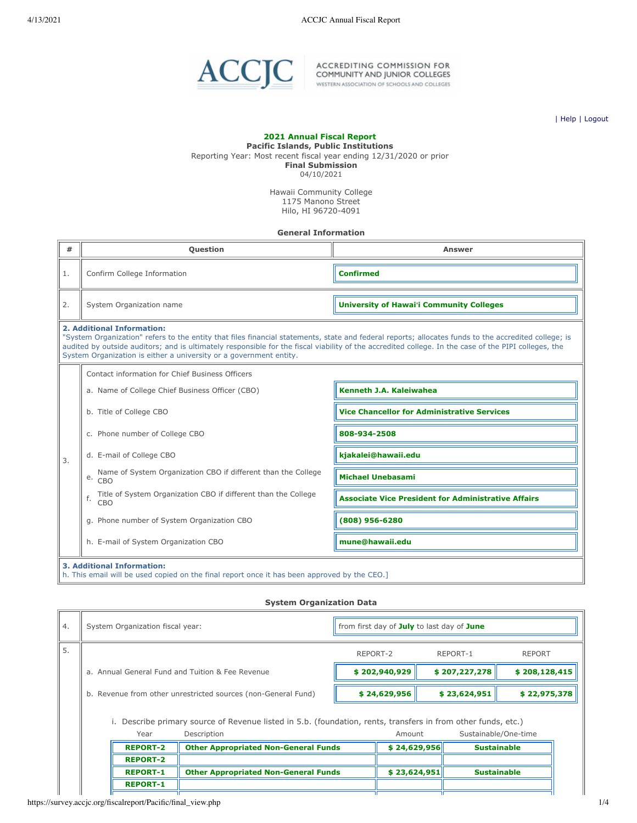

ACCREDITING COMMISSION FOR<br>COMMUNITY AND JUNIOR COLLEGES<br>WESTERN ASSOCIATION OF SCHOOLS AND COLLEGES

| [Help](javascript:newPopup() | [Logout](https://survey.accjc.org/fiscalreport/Pacific/logout.php)

# **2021 Annual Fiscal Report Pacific Islands, Public Institutions** Reporting Year: Most recent fiscal year ending 12/31/2020 or prior **Final Submission** 04/10/2021

Hawaii Community College 1175 Manono Street Hilo, HI 96720-4091

## **General Information**

| #  | <b>Ouestion</b>                                                                                                                                                                                                                                                                                                                                                                                                  | <b>Answer</b>                                              |  |  |  |
|----|------------------------------------------------------------------------------------------------------------------------------------------------------------------------------------------------------------------------------------------------------------------------------------------------------------------------------------------------------------------------------------------------------------------|------------------------------------------------------------|--|--|--|
| 1. | Confirm College Information                                                                                                                                                                                                                                                                                                                                                                                      | <b>Confirmed</b>                                           |  |  |  |
| 2. | System Organization name                                                                                                                                                                                                                                                                                                                                                                                         | <b>University of Hawai'i Community Colleges</b>            |  |  |  |
|    | 2. Additional Information:<br>"System Organization" refers to the entity that files financial statements, state and federal reports; allocates funds to the accredited college; is<br>audited by outside auditors; and is ultimately responsible for the fiscal viability of the accredited college. In the case of the PIPI colleges, the<br>System Organization is either a university or a government entity. |                                                            |  |  |  |
|    | Contact information for Chief Business Officers                                                                                                                                                                                                                                                                                                                                                                  |                                                            |  |  |  |
|    | a. Name of College Chief Business Officer (CBO)                                                                                                                                                                                                                                                                                                                                                                  | Kenneth J.A. Kaleiwahea                                    |  |  |  |
|    | b. Title of College CBO                                                                                                                                                                                                                                                                                                                                                                                          | <b>Vice Chancellor for Administrative Services</b>         |  |  |  |
|    | c. Phone number of College CBO                                                                                                                                                                                                                                                                                                                                                                                   | 808-934-2508                                               |  |  |  |
| 3. | d. E-mail of College CBO                                                                                                                                                                                                                                                                                                                                                                                         | kjakalei@hawaii.edu                                        |  |  |  |
|    | Name of System Organization CBO if different than the College<br>e.<br>CBO                                                                                                                                                                                                                                                                                                                                       | <b>Michael Unebasami</b>                                   |  |  |  |
|    | Title of System Organization CBO if different than the College<br>f.<br>CBO                                                                                                                                                                                                                                                                                                                                      | <b>Associate Vice President for Administrative Affairs</b> |  |  |  |
|    | g. Phone number of System Organization CBO                                                                                                                                                                                                                                                                                                                                                                       | (808) 956-6280                                             |  |  |  |
|    | h. E-mail of System Organization CBO                                                                                                                                                                                                                                                                                                                                                                             | mune@hawaii.edu                                            |  |  |  |
|    | <b>3. Additional Information:</b><br>h. This email will be used copied on the final report once it has been approved by the CEO.]                                                                                                                                                                                                                                                                                |                                                            |  |  |  |

#### **System Organization Data**

| 4. | System Organization fiscal year:                                                                                                     | from first day of July to last day of June |                      |               |
|----|--------------------------------------------------------------------------------------------------------------------------------------|--------------------------------------------|----------------------|---------------|
| 5. |                                                                                                                                      | REPORT-2                                   | REPORT-1             | <b>REPORT</b> |
|    | a. Annual General Fund and Tuition & Fee Revenue                                                                                     | \$202,940,929                              | \$207,227,278        | \$208,128,415 |
|    | b. Revenue from other unrestricted sources (non-General Fund)                                                                        | \$24,629,956                               | \$23,624,951         | \$22,975,378  |
|    | i. Describe primary source of Revenue listed in 5.b. (foundation, rents, transfers in from other funds, etc.)<br>Description<br>Year | Amount                                     | Sustainable/One-time |               |

| <b>REPORT-2</b> | <b>Other Appropriated Non-General Funds</b> | \$24,629,956 | <b>Sustainable</b> |
|-----------------|---------------------------------------------|--------------|--------------------|
| <b>REPORT-2</b> |                                             |              |                    |
| <b>REPORT-1</b> | <b>Other Appropriated Non-General Funds</b> | \$23.624.951 | <b>Sustainable</b> |
| <b>REPORT-1</b> |                                             |              |                    |
|                 |                                             |              |                    |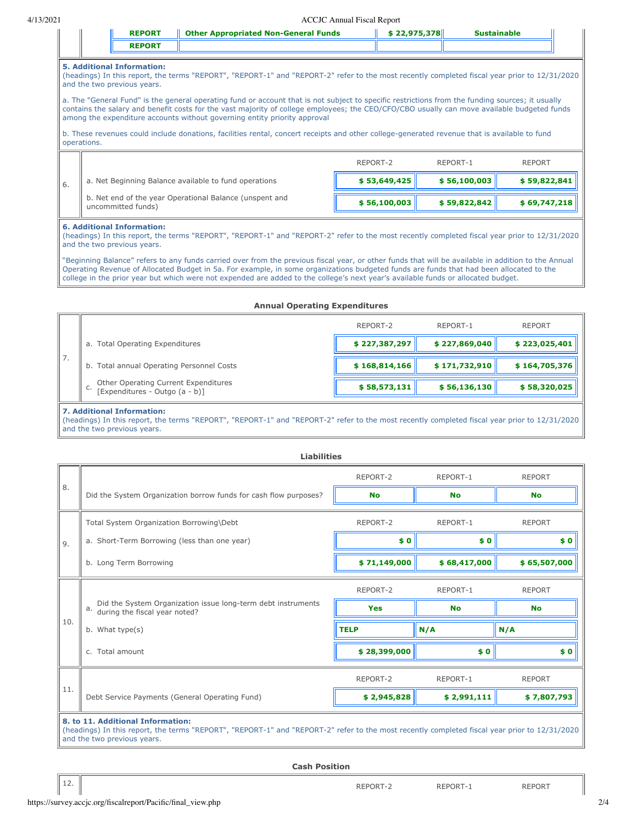| DEDADT | <b>Jther Appropriated Non-General Funds</b> |  |
|--------|---------------------------------------------|--|
|        |                                             |  |

#### **5. Additional Information:**

(headings) In this report, the terms "REPORT", "REPORT-1" and "REPORT-2" refer to the most recently completed fiscal year prior to 12/31/2020 and the two previous years.

a. The "General Fund" is the general operating fund or account that is not subject to specific restrictions from the funding sources; it usually contains the salary and benefit costs for the vast majority of college employees; the CEO/CFO/CBO usually can move available budgeted funds among the expenditure accounts without governing entity priority approval

b. These revenues could include donations, facilities rental, concert receipts and other college-generated revenue that is available to fund operations.

|     |                                                                               | REPORT-2     | REPORT-1     | <b>REPORT</b> |
|-----|-------------------------------------------------------------------------------|--------------|--------------|---------------|
| -6. | a. Net Beginning Balance available to fund operations                         | \$53,649,425 | \$56,100,003 | \$59,822,841  |
|     | b. Net end of the year Operational Balance (unspent and<br>uncommitted funds) | \$56,100,003 | \$59,822,842 | \$69,747,218  |

## **6. Additional Information:**

(headings) In this report, the terms "REPORT", "REPORT-1" and "REPORT-2" refer to the most recently completed fiscal year prior to 12/31/2020 and the two previous years.

"Beginning Balance" refers to any funds carried over from the previous fiscal year, or other funds that will be available in addition to the Annual Operating Revenue of Allocated Budget in 5a. For example, in some organizations budgeted funds are funds that had been allocated to the college in the prior year but which were not expended are added to the college's next year's available funds or allocated budget.

#### **Annual Operating Expenditures**

|    |                                                                              | REPORT-2      | REPORT-1      | <b>REPORT</b> |  |  |
|----|------------------------------------------------------------------------------|---------------|---------------|---------------|--|--|
|    | a. Total Operating Expenditures                                              | \$227,387,297 | \$227,869,040 | \$223,025,401 |  |  |
| 7. | b. Total annual Operating Personnel Costs                                    | \$168,814,166 | \$171,732,910 | \$164,705,376 |  |  |
|    | Other Operating Current Expenditures<br>[Expenditures - Outgo (a - b)]<br>C. | \$58,573,131  | \$56,136,130  | \$58,320,025  |  |  |
|    | 7. Additional Information:                                                   |               |               |               |  |  |

(headings) In this report, the terms "REPORT", "REPORT-1" and "REPORT-2" refer to the most recently completed fiscal year prior to 12/31/2020 and the two previous years.

|     | <b>Liabilities</b>                                                                                                                                                                                                |              |              |               |  |  |
|-----|-------------------------------------------------------------------------------------------------------------------------------------------------------------------------------------------------------------------|--------------|--------------|---------------|--|--|
|     |                                                                                                                                                                                                                   | REPORT-2     | REPORT-1     | <b>REPORT</b> |  |  |
| 8.  | Did the System Organization borrow funds for cash flow purposes?                                                                                                                                                  | <b>No</b>    | <b>No</b>    | <b>No</b>     |  |  |
|     | Total System Organization Borrowing\Debt                                                                                                                                                                          | REPORT-2     | REPORT-1     | <b>REPORT</b> |  |  |
| 9.  | a. Short-Term Borrowing (less than one year)                                                                                                                                                                      | \$0          | \$0          | \$0           |  |  |
|     | b. Long Term Borrowing                                                                                                                                                                                            | \$71,149,000 | \$68,417,000 | \$65,507,000  |  |  |
|     |                                                                                                                                                                                                                   | REPORT-2     | REPORT-1     | <b>REPORT</b> |  |  |
|     | Did the System Organization issue long-term debt instruments<br>a.<br>during the fiscal year noted?                                                                                                               | <b>Yes</b>   | <b>No</b>    | <b>No</b>     |  |  |
| 10. | b. What type(s)                                                                                                                                                                                                   | <b>TELP</b>  | N/A          | N/A           |  |  |
|     | c. Total amount                                                                                                                                                                                                   | \$28,399,000 | \$0          | \$0           |  |  |
|     |                                                                                                                                                                                                                   | REPORT-2     | REPORT-1     | <b>REPORT</b> |  |  |
| 11. | Debt Service Payments (General Operating Fund)                                                                                                                                                                    | \$2,945,828  | \$2,991,111  | \$7,807,793   |  |  |
|     | 8. to 11. Additional Information:<br>(headings) In this report, the terms "REPORT", "REPORT-1" and "REPORT-2" refer to the most recently completed fiscal year prior to 12/31/2020<br>and the two previous years. |              |              |               |  |  |

**Cash Position**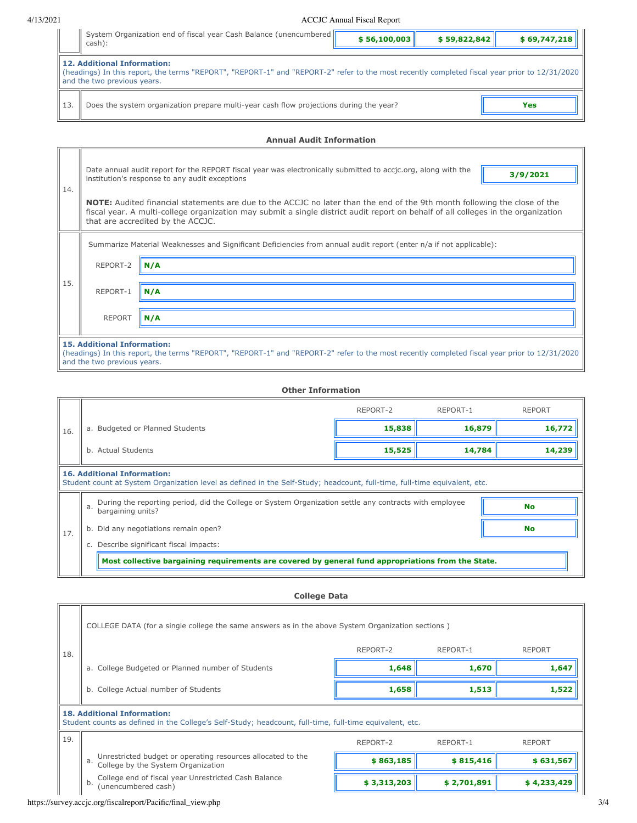|     | System Organization end of fiscal year Cash Balance (unencumbered  <br>cash):                                                                                                                                      | \$56,100,003 | \$59,822,842 | \$69,747,218 |  |  |  |  |
|-----|--------------------------------------------------------------------------------------------------------------------------------------------------------------------------------------------------------------------|--------------|--------------|--------------|--|--|--|--|
|     | <b>12. Additional Information:</b><br>(headings) In this report, the terms "REPORT", "REPORT-1" and "REPORT-2" refer to the most recently completed fiscal year prior to 12/31/2020<br>and the two previous years. |              |              |              |  |  |  |  |
| 13. | Does the system organization prepare multi-year cash flow projections during the year?                                                                                                                             |              |              | Yes          |  |  |  |  |

## **Annual Audit Information**

| 14. |                                                                   | Date annual audit report for the REPORT fiscal year was electronically submitted to accjc.org, along with the<br>3/9/2021<br>institution's response to any audit exceptions<br>NOTE: Audited financial statements are due to the ACCJC no later than the end of the 9th month following the close of the<br>fiscal year. A multi-college organization may submit a single district audit report on behalf of all colleges in the organization<br>that are accredited by the ACCJC. |
|-----|-------------------------------------------------------------------|------------------------------------------------------------------------------------------------------------------------------------------------------------------------------------------------------------------------------------------------------------------------------------------------------------------------------------------------------------------------------------------------------------------------------------------------------------------------------------|
|     |                                                                   | Summarize Material Weaknesses and Significant Deficiencies from annual audit report (enter n/a if not applicable):                                                                                                                                                                                                                                                                                                                                                                 |
|     | REPORT-2                                                          | $\parallel$ N/A                                                                                                                                                                                                                                                                                                                                                                                                                                                                    |
| 15. | REPORT-1                                                          | $\parallel$ N/A                                                                                                                                                                                                                                                                                                                                                                                                                                                                    |
|     | <b>REPORT</b>                                                     | $\parallel$ N/A                                                                                                                                                                                                                                                                                                                                                                                                                                                                    |
|     | <b>15. Additional Information:</b><br>and the two previous years. | (headings) In this report, the terms "REPORT", "REPORT-1" and "REPORT-2" refer to the most recently completed fiscal year prior to 12/31/2020                                                                                                                                                                                                                                                                                                                                      |

| <b>Other Information</b> |                                                                                                                                                                                                            |          |          |               |  |  |
|--------------------------|------------------------------------------------------------------------------------------------------------------------------------------------------------------------------------------------------------|----------|----------|---------------|--|--|
|                          |                                                                                                                                                                                                            | REPORT-2 | REPORT-1 | <b>REPORT</b> |  |  |
| 16.                      | a. Budgeted or Planned Students                                                                                                                                                                            | 15,838   | 16,879   | 16,772        |  |  |
|                          | b. Actual Students                                                                                                                                                                                         | 15,525   | 14,784   | 14,239        |  |  |
|                          | <b>16. Additional Information:</b><br>Student count at System Organization level as defined in the Self-Study; headcount, full-time, full-time equivalent, etc.                                            |          |          |               |  |  |
|                          | During the reporting period, did the College or System Organization settle any contracts with employee<br><b>No</b><br>a.<br>bargaining units?<br>b. Did any negotiations remain open?<br><b>No</b><br>17. |          |          |               |  |  |
|                          |                                                                                                                                                                                                            |          |          |               |  |  |
|                          | Describe significant fiscal impacts:<br>C.                                                                                                                                                                 |          |          |               |  |  |
|                          | Most collective bargaining requirements are covered by general fund appropriations from the State.                                                                                                         |          |          |               |  |  |

**College Data**

|     | COLLEGE DATA (for a single college the same answers as in the above System Organization sections)                                             |           |           |               |
|-----|-----------------------------------------------------------------------------------------------------------------------------------------------|-----------|-----------|---------------|
| 18. |                                                                                                                                               | REPORT-2  | REPORT-1  | <b>REPORT</b> |
|     | a. College Budgeted or Planned number of Students                                                                                             | 1,648     | 1,670     | 1,647         |
|     | b. College Actual number of Students                                                                                                          | 1,658     | 1,513     | 1,522         |
|     |                                                                                                                                               |           |           |               |
|     | <b>18. Additional Information:</b><br>Student counts as defined in the College's Self-Study; headcount, full-time, full-time equivalent, etc. |           |           |               |
| 19. |                                                                                                                                               | REPORT-2  | REPORT-1  | <b>REPORT</b> |
|     | Unrestricted budget or operating resources allocated to the<br>a. College by the System Organization                                          | \$863,185 | \$815,416 | \$631,567     |